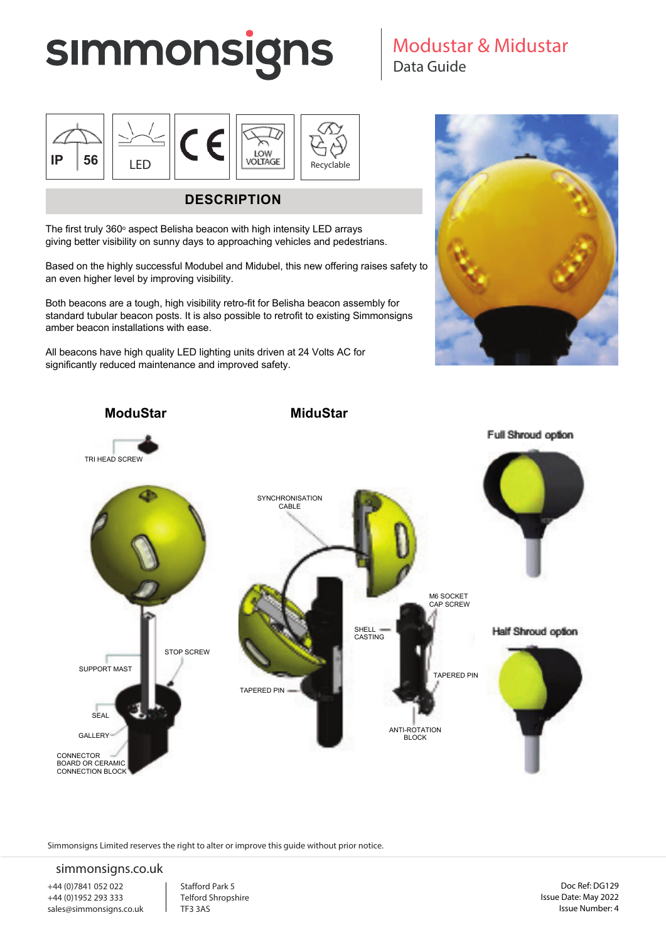# **SIMMONSIGNS**



## **DESCRIPTION**

The first truly  $360^\circ$  aspect Belisha beacon with high intensity LED arrays giving better visibility on sunny days to approaching vehicles and pedestrians.

Based on the highly successful Modubel and Midubel, this new offering raises safety to an even higher level by improving visibility.

Both beacons are a tough, high visibility retro-fit for Belisha beacon assembly for standard tubular beacon posts. It is also possible to retrofit to existing Simmonsigns amber beacon installations with ease.

All beacons have high quality LED lighting units driven at 24 Volts AC for significantly reduced maintenance and improved safety.

Modustar & Midustar

Data Guide





Simmonsigns Limited reserves the right to alter or improve this guide without prior notice.

#### simmonsigns.co.uk

+44 (0)7841 052 022 +44 (0)1952 293 333 sales@simmonsigns.co.uk Stafford Park 5 Telford Shropshire TF3 3AS

Doc Ref: DG129 Issue Date: May 2022 Issue Number: 4